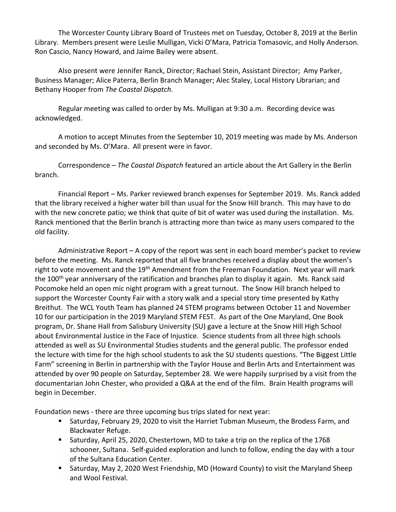The Worcester County Library Board of Trustees met on Tuesday, October 8, 2019 at the Berlin Library. Members present were Leslie Mulligan, Vicki O'Mara, Patricia Tomasovic, and Holly Anderson. Ron Cascio, Nancy Howard, and Jaime Bailey were absent.

Also present were Jennifer Ranck, Director; Rachael Stein, Assistant Director; Amy Parker, Business Manager; Alice Paterra, Berlin Branch Manager; Alec Staley, Local History Librarian; and Bethany Hooper from *The Coastal Dispatch*.

Regular meeting was called to order by Ms. Mulligan at 9:30 a.m. Recording device was acknowledged.

A motion to accept Minutes from the September 10, 2019 meeting was made by Ms. Anderson and seconded by Ms. O'Mara. All present were in favor.

Correspondence – *The Coastal Dispatch* featured an article about the Art Gallery in the Berlin branch.

Financial Report – Ms. Parker reviewed branch expenses for September 2019. Ms. Ranck added that the library received a higher water bill than usual for the Snow Hill branch. This may have to do with the new concrete patio; we think that quite of bit of water was used during the installation. Ms. Ranck mentioned that the Berlin branch is attracting more than twice as many users compared to the old facility.

Administrative Report – A copy of the report was sent in each board member's packet to review before the meeting. Ms. Ranck reported that all five branches received a display about the women's right to vote movement and the 19<sup>th</sup> Amendment from the Freeman Foundation. Next year will mark the 100<sup>th</sup> year anniversary of the ratification and branches plan to display it again. Ms. Ranck said Pocomoke held an open mic night program with a great turnout. The Snow Hill branch helped to support the Worcester County Fair with a story walk and a special story time presented by Kathy Breithut. The WCL Youth Team has planned 24 STEM programs between October 11 and November 10 for our participation in the 2019 Maryland STEM FEST. As part of the One Maryland, One Book program, Dr. Shane Hall from Salisbury University (SU) gave a lecture at the Snow Hill High School about Environmental Justice in the Face of Injustice. Science students from all three high schools attended as well as SU Environmental Studies students and the general public. The professor ended the lecture with time for the high school students to ask the SU students questions. "The Biggest Little Farm" screening in Berlin in partnership with the Taylor House and Berlin Arts and Entertainment was attended by over 90 people on Saturday, September 28. We were happily surprised by a visit from the documentarian John Chester, who provided a Q&A at the end of the film. Brain Health programs will begin in December.

Foundation news - there are three upcoming bus trips slated for next year:

- Saturday, February 29, 2020 to visit the Harriet Tubman Museum, the Brodess Farm, and Blackwater Refuge.
- Saturday, April 25, 2020, Chestertown, MD to take a trip on the replica of the 1768 schooner, Sultana. Self-guided exploration and lunch to follow, ending the day with a tour of the Sultana Education Center.
- Saturday, May 2, 2020 West Friendship, MD (Howard County) to visit the Maryland Sheep and Wool Festival.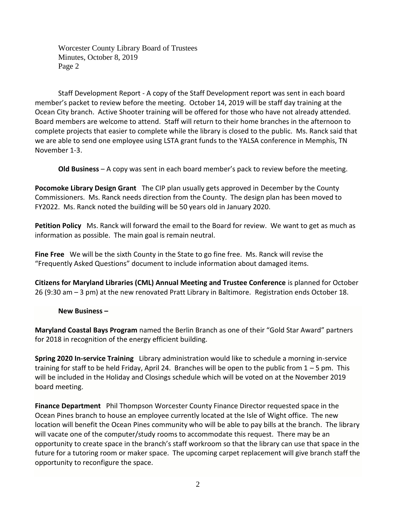Worcester County Library Board of Trustees Minutes, October 8, 2019 Page 2

Staff Development Report - A copy of the Staff Development report was sent in each board member's packet to review before the meeting. October 14, 2019 will be staff day training at the Ocean City branch. Active Shooter training will be offered for those who have not already attended. Board members are welcome to attend. Staff will return to their home branches in the afternoon to complete projects that easier to complete while the library is closed to the public. Ms. Ranck said that we are able to send one employee using LSTA grant funds to the YALSA conference in Memphis, TN November 1-3.

**Old Business** – A copy was sent in each board member's pack to review before the meeting.

**Pocomoke Library Design Grant** The CIP plan usually gets approved in December by the County Commissioners. Ms. Ranck needs direction from the County. The design plan has been moved to FY2022. Ms. Ranck noted the building will be 50 years old in January 2020.

**Petition Policy** Ms. Ranck will forward the email to the Board for review. We want to get as much as information as possible. The main goal is remain neutral.

**Fine Free** We will be the sixth County in the State to go fine free. Ms. Ranck will revise the "Frequently Asked Questions" document to include information about damaged items.

**Citizens for Maryland Libraries (CML) Annual Meeting and Trustee Conference** is planned for October 26 (9:30 am – 3 pm) at the new renovated Pratt Library in Baltimore. Registration ends October 18.

**New Business –**

**Maryland Coastal Bays Program** named the Berlin Branch as one of their "Gold Star Award" partners for 2018 in recognition of the energy efficient building.

**Spring 2020 In-service Training** Library administration would like to schedule a morning in-service training for staff to be held Friday, April 24. Branches will be open to the public from  $1 - 5$  pm. This will be included in the Holiday and Closings schedule which will be voted on at the November 2019 board meeting.

**Finance Department** Phil Thompson Worcester County Finance Director requested space in the Ocean Pines branch to house an employee currently located at the Isle of Wight office. The new location will benefit the Ocean Pines community who will be able to pay bills at the branch. The library will vacate one of the computer/study rooms to accommodate this request. There may be an opportunity to create space in the branch's staff workroom so that the library can use that space in the future for a tutoring room or maker space. The upcoming carpet replacement will give branch staff the opportunity to reconfigure the space.